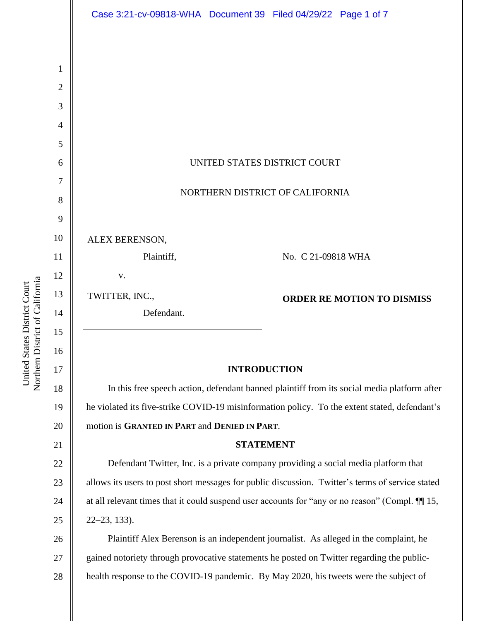|                     | Case 3:21-cv-09818-WHA  Document 39  Filed 04/29/22  Page 1 of 7                                 |
|---------------------|--------------------------------------------------------------------------------------------------|
|                     |                                                                                                  |
|                     |                                                                                                  |
| 1<br>$\overline{2}$ |                                                                                                  |
| 3                   |                                                                                                  |
| $\overline{4}$      |                                                                                                  |
| 5                   |                                                                                                  |
| 6                   | UNITED STATES DISTRICT COURT                                                                     |
| 7                   |                                                                                                  |
| 8                   | NORTHERN DISTRICT OF CALIFORNIA                                                                  |
| 9                   |                                                                                                  |
| 10                  | ALEX BERENSON,                                                                                   |
| 11                  | Plaintiff,<br>No. C 21-09818 WHA                                                                 |
| 12                  | V.                                                                                               |
| 13                  | TWITTER, INC.,<br><b>ORDER RE MOTION TO DISMISS</b>                                              |
| 14                  | Defendant.                                                                                       |
| 15                  |                                                                                                  |
| 16<br>17            | <b>INTRODUCTION</b>                                                                              |
| 18                  | In this free speech action, defendant banned plaintiff from its social media platform after      |
| 19                  | he violated its five-strike COVID-19 misinformation policy. To the extent stated, defendant's    |
| 20                  | motion is GRANTED IN PART and DENIED IN PART.                                                    |
| 21                  | <b>STATEMENT</b>                                                                                 |
| 22                  | Defendant Twitter, Inc. is a private company providing a social media platform that              |
| 23                  | allows its users to post short messages for public discussion. Twitter's terms of service stated |
| 24                  | at all relevant times that it could suspend user accounts for "any or no reason" (Compl. III 15, |
| 25                  | $22 - 23$ , 133).                                                                                |
| 26                  | Plaintiff Alex Berenson is an independent journalist. As alleged in the complaint, he            |
| 27                  | gained notoriety through provocative statements he posted on Twitter regarding the public-       |
| 28                  | health response to the COVID-19 pandemic. By May 2020, his tweets were the subject of            |
|                     |                                                                                                  |
|                     |                                                                                                  |

United States District Court<br>Northern District of California Northern District of California United States District Court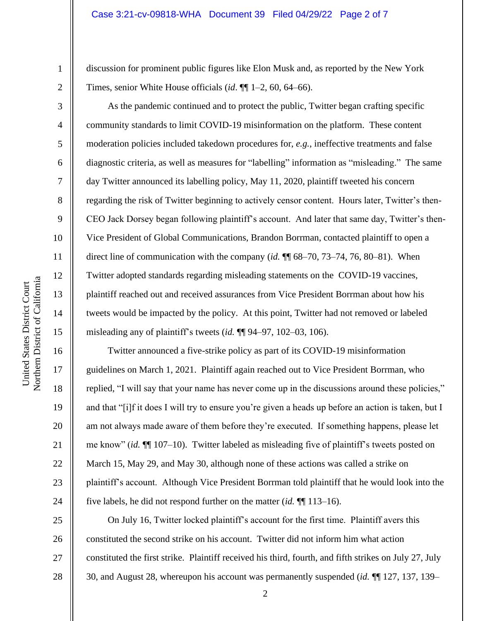discussion for prominent public figures like Elon Musk and, as reported by the New York Times, senior White House officials (*id*. ¶¶ 1–2, 60, 64–66).

As the pandemic continued and to protect the public, Twitter began crafting specific community standards to limit COVID-19 misinformation on the platform. These content moderation policies included takedown procedures for, *e.g.*, ineffective treatments and false diagnostic criteria, as well as measures for "labelling" information as "misleading." The same day Twitter announced its labelling policy, May 11, 2020, plaintiff tweeted his concern regarding the risk of Twitter beginning to actively censor content. Hours later, Twitter's then-CEO Jack Dorsey began following plaintiff's account. And later that same day, Twitter's then-Vice President of Global Communications, Brandon Borrman, contacted plaintiff to open a direct line of communication with the company (*id.* ¶¶ 68–70, 73–74, 76, 80–81). When Twitter adopted standards regarding misleading statements on the COVID-19 vaccines, plaintiff reached out and received assurances from Vice President Borrman about how his tweets would be impacted by the policy. At this point, Twitter had not removed or labeled misleading any of plaintiff's tweets (*id.* ¶¶ 94–97, 102–03, 106).

Twitter announced a five-strike policy as part of its COVID-19 misinformation guidelines on March 1, 2021. Plaintiff again reached out to Vice President Borrman, who replied, "I will say that your name has never come up in the discussions around these policies," and that "[i]f it does I will try to ensure you're given a heads up before an action is taken, but I am not always made aware of them before they're executed. If something happens, please let me know" (*id.* ¶¶ 107–10). Twitter labeled as misleading five of plaintiff's tweets posted on March 15, May 29, and May 30, although none of these actions was called a strike on plaintiff's account. Although Vice President Borrman told plaintiff that he would look into the five labels, he did not respond further on the matter (*id.* ¶¶ 113–16).

On July 16, Twitter locked plaintiff's account for the first time. Plaintiff avers this constituted the second strike on his account. Twitter did not inform him what action constituted the first strike. Plaintiff received his third, fourth, and fifth strikes on July 27, July 30, and August 28, whereupon his account was permanently suspended (*id.* ¶¶ 127, 137, 139–

1

2

3

4

5

6

7

8

9

10

11

12

13

14

15

16

17

18

19

20

21

22

23

24

25

26

27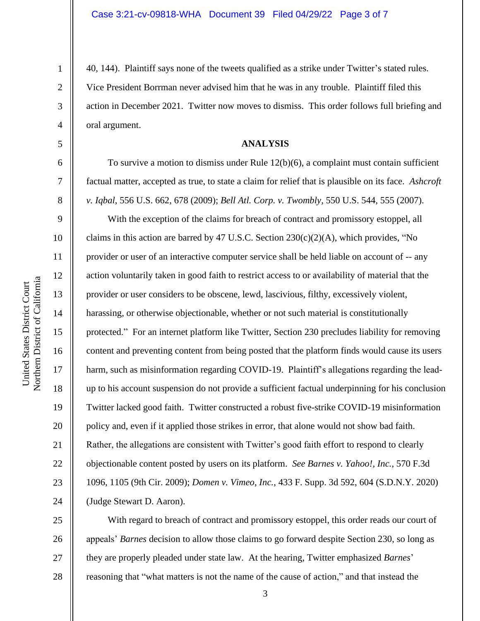40, 144). Plaintiff says none of the tweets qualified as a strike under Twitter's stated rules. Vice President Borrman never advised him that he was in any trouble. Plaintiff filed this action in December 2021. Twitter now moves to dismiss. This order follows full briefing and oral argument.

# **ANALYSIS**

To survive a motion to dismiss under Rule 12(b)(6), a complaint must contain sufficient factual matter, accepted as true, to state a claim for relief that is plausible on its face. *Ashcroft v. Iqbal*, 556 U.S. 662, 678 (2009); *Bell Atl. Corp. v. Twombly*, 550 U.S. 544, 555 (2007).

With the exception of the claims for breach of contract and promissory estoppel, all claims in this action are barred by 47 U.S.C. Section  $230(c)(2)(A)$ , which provides, "No provider or user of an interactive computer service shall be held liable on account of -- any action voluntarily taken in good faith to restrict access to or availability of material that the provider or user considers to be obscene, lewd, lascivious, filthy, excessively violent, harassing, or otherwise objectionable, whether or not such material is constitutionally protected." For an internet platform like Twitter, Section 230 precludes liability for removing content and preventing content from being posted that the platform finds would cause its users harm, such as misinformation regarding COVID-19. Plaintiff's allegations regarding the leadup to his account suspension do not provide a sufficient factual underpinning for his conclusion Twitter lacked good faith. Twitter constructed a robust five-strike COVID-19 misinformation policy and, even if it applied those strikes in error, that alone would not show bad faith. Rather, the allegations are consistent with Twitter's good faith effort to respond to clearly objectionable content posted by users on its platform. *See Barnes v. Yahoo!, Inc.*, 570 F.3d 1096, 1105 (9th Cir. 2009); *Domen v. Vimeo, Inc.*, 433 F. Supp. 3d 592, 604 (S.D.N.Y. 2020) (Judge Stewart D. Aaron).

25 26 27 28 With regard to breach of contract and promissory estoppel, this order reads our court of appeals' *Barnes* decision to allow those claims to go forward despite Section 230, so long as they are properly pleaded under state law. At the hearing, Twitter emphasized *Barnes*' reasoning that "what matters is not the name of the cause of action," and that instead the

1

2

3

4

5

6

7

8

9

10

11

12

13

14

15

16

17

18

19

20

21

22

23

24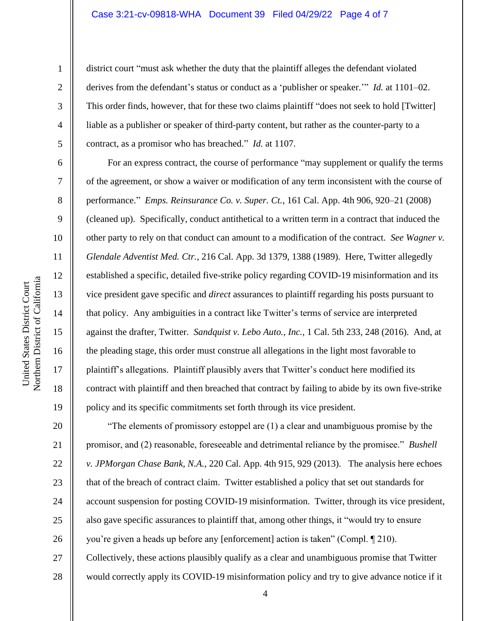### Case 3:21-cv-09818-WHA Document 39 Filed 04/29/22 Page 4 of 7

district court "must ask whether the duty that the plaintiff alleges the defendant violated derives from the defendant's status or conduct as a 'publisher or speaker.'" *Id.* at 1101–02. This order finds, however, that for these two claims plaintiff "does not seek to hold [Twitter] liable as a publisher or speaker of third-party content, but rather as the counter-party to a contract, as a promisor who has breached." *Id.* at 1107.

For an express contract, the course of performance "may supplement or qualify the terms of the agreement, or show a waiver or modification of any term inconsistent with the course of performance." *Emps. Reinsurance Co. v. Super. Ct.*, 161 Cal. App. 4th 906, 920–21 (2008) (cleaned up). Specifically, conduct antithetical to a written term in a contract that induced the other party to rely on that conduct can amount to a modification of the contract. *See Wagner v. Glendale Adventist Med. Ctr.*, 216 Cal. App. 3d 1379, 1388 (1989). Here, Twitter allegedly established a specific, detailed five-strike policy regarding COVID-19 misinformation and its vice president gave specific and *direct* assurances to plaintiff regarding his posts pursuant to that policy. Any ambiguities in a contract like Twitter's terms of service are interpreted against the drafter, Twitter. *Sandquist v. Lebo Auto., Inc.*, 1 Cal. 5th 233, 248 (2016). And, at the pleading stage, this order must construe all allegations in the light most favorable to plaintiff's allegations. Plaintiff plausibly avers that Twitter's conduct here modified its contract with plaintiff and then breached that contract by failing to abide by its own five-strike policy and its specific commitments set forth through its vice president.

"The elements of promissory estoppel are (1) a clear and unambiguous promise by the promisor, and (2) reasonable, foreseeable and detrimental reliance by the promisee." *Bushell v. JPMorgan Chase Bank, N.A.*, 220 Cal. App. 4th 915, 929 (2013). The analysis here echoes that of the breach of contract claim. Twitter established a policy that set out standards for account suspension for posting COVID-19 misinformation. Twitter, through its vice president, also gave specific assurances to plaintiff that, among other things, it "would try to ensure you're given a heads up before any [enforcement] action is taken" (Compl. ¶ 210). Collectively, these actions plausibly qualify as a clear and unambiguous promise that Twitter would correctly apply its COVID-19 misinformation policy and try to give advance notice if it

1

2

3

4

5

6

7

8

9

10

11

12

13

14

15

16

17

18

19

20

21

22

23

24

25

26

27

28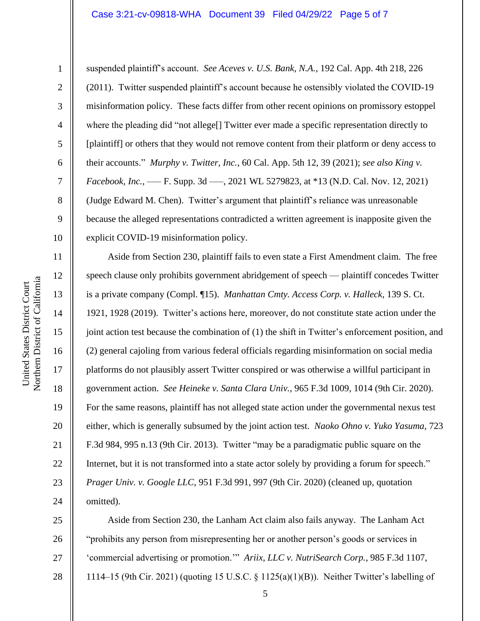### Case 3:21-cv-09818-WHA Document 39 Filed 04/29/22 Page 5 of 7

United States District Court

1

2

3

4

5

6

7

8

9

10

11

12

13

14

15

16

17

18

19

20

21

22

23

24

25

26

27

28

suspended plaintiff's account. *See Aceves v. U.S. Bank, N.A.*, 192 Cal. App. 4th 218, 226 (2011). Twitter suspended plaintiff's account because he ostensibly violated the COVID-19 misinformation policy. These facts differ from other recent opinions on promissory estoppel where the pleading did "not allege[] Twitter ever made a specific representation directly to [plaintiff] or others that they would not remove content from their platform or deny access to their accounts." *Murphy v. Twitter, Inc.*, 60 Cal. App. 5th 12, 39 (2021); *see also King v. Facebook, Inc.*, —– F. Supp. 3d —–, 2021 WL 5279823, at \*13 (N.D. Cal. Nov. 12, 2021) (Judge Edward M. Chen). Twitter's argument that plaintiff's reliance was unreasonable because the alleged representations contradicted a written agreement is inapposite given the explicit COVID-19 misinformation policy.

Aside from Section 230, plaintiff fails to even state a First Amendment claim. The free speech clause only prohibits government abridgement of speech — plaintiff concedes Twitter is a private company (Compl. ¶15). *Manhattan Cmty. Access Corp. v. Halleck*, 139 S. Ct. 1921, 1928 (2019). Twitter's actions here, moreover, do not constitute state action under the joint action test because the combination of (1) the shift in Twitter's enforcement position, and (2) general cajoling from various federal officials regarding misinformation on social media platforms do not plausibly assert Twitter conspired or was otherwise a willful participant in government action. *See Heineke v. Santa Clara Univ.*, 965 F.3d 1009, 1014 (9th Cir. 2020). For the same reasons, plaintiff has not alleged state action under the governmental nexus test either, which is generally subsumed by the joint action test. *Naoko Ohno v. Yuko Yasuma*, 723 F.3d 984, 995 n.13 (9th Cir. 2013). Twitter "may be a paradigmatic public square on the Internet, but it is not transformed into a state actor solely by providing a forum for speech." *Prager Univ. v. Google LLC*, 951 F.3d 991, 997 (9th Cir. 2020) (cleaned up, quotation omitted).

Aside from Section 230, the Lanham Act claim also fails anyway. The Lanham Act "prohibits any person from misrepresenting her or another person's goods or services in 'commercial advertising or promotion.'" *Ariix, LLC v. NutriSearch Corp.*, 985 F.3d 1107, 1114–15 (9th Cir. 2021) (quoting 15 U.S.C. § 1125(a)(1)(B)). Neither Twitter's labelling of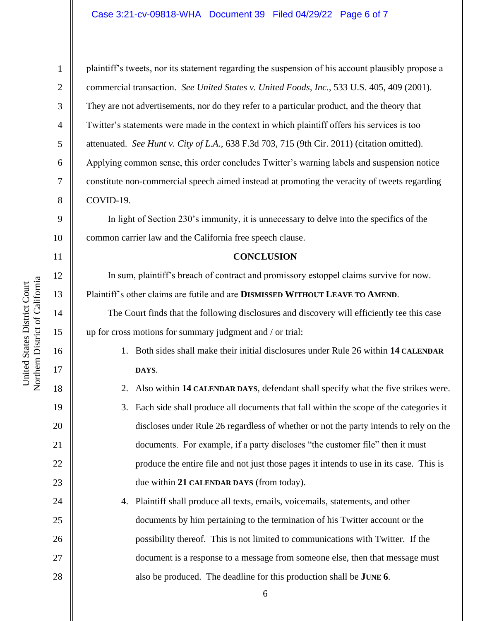# Case 3:21-cv-09818-WHA Document 39 Filed 04/29/22 Page 6 of 7

10 11 12 Northern District of California Northern District of California 13 14 15 16 17 18

United States District Court

United States District Court

1

2

3

4

5

6

7

8

9

19

20

21

22

23

24

25

26

27

28

plaintiff's tweets, nor its statement regarding the suspension of his account plausibly propose a commercial transaction. *See United States v. United Foods, Inc.*, 533 U.S. 405, 409 (2001). They are not advertisements, nor do they refer to a particular product, and the theory that Twitter's statements were made in the context in which plaintiff offers his services is too attenuated. *See Hunt v. City of L.A.*, 638 F.3d 703, 715 (9th Cir. 2011) (citation omitted). Applying common sense, this order concludes Twitter's warning labels and suspension notice constitute non-commercial speech aimed instead at promoting the veracity of tweets regarding COVID-19.

In light of Section 230's immunity, it is unnecessary to delve into the specifics of the common carrier law and the California free speech clause.

#### **CONCLUSION**

In sum, plaintiff's breach of contract and promissory estoppel claims survive for now. Plaintiff's other claims are futile and are **DISMISSED WITHOUT LEAVE TO AMEND**.

The Court finds that the following disclosures and discovery will efficiently tee this case up for cross motions for summary judgment and / or trial:

> 1. Both sides shall make their initial disclosures under Rule 26 within **14 CALENDAR DAYS**.

2. Also within **14 CALENDAR DAYS**, defendant shall specify what the five strikes were.

- 3. Each side shall produce all documents that fall within the scope of the categories it discloses under Rule 26 regardless of whether or not the party intends to rely on the documents. For example, if a party discloses "the customer file" then it must produce the entire file and not just those pages it intends to use in its case. This is due within **21 CALENDAR DAYS** (from today).
- 4. Plaintiff shall produce all texts, emails, voicemails, statements, and other documents by him pertaining to the termination of his Twitter account or the possibility thereof. This is not limited to communications with Twitter. If the document is a response to a message from someone else, then that message must also be produced. The deadline for this production shall be **JUNE 6**.